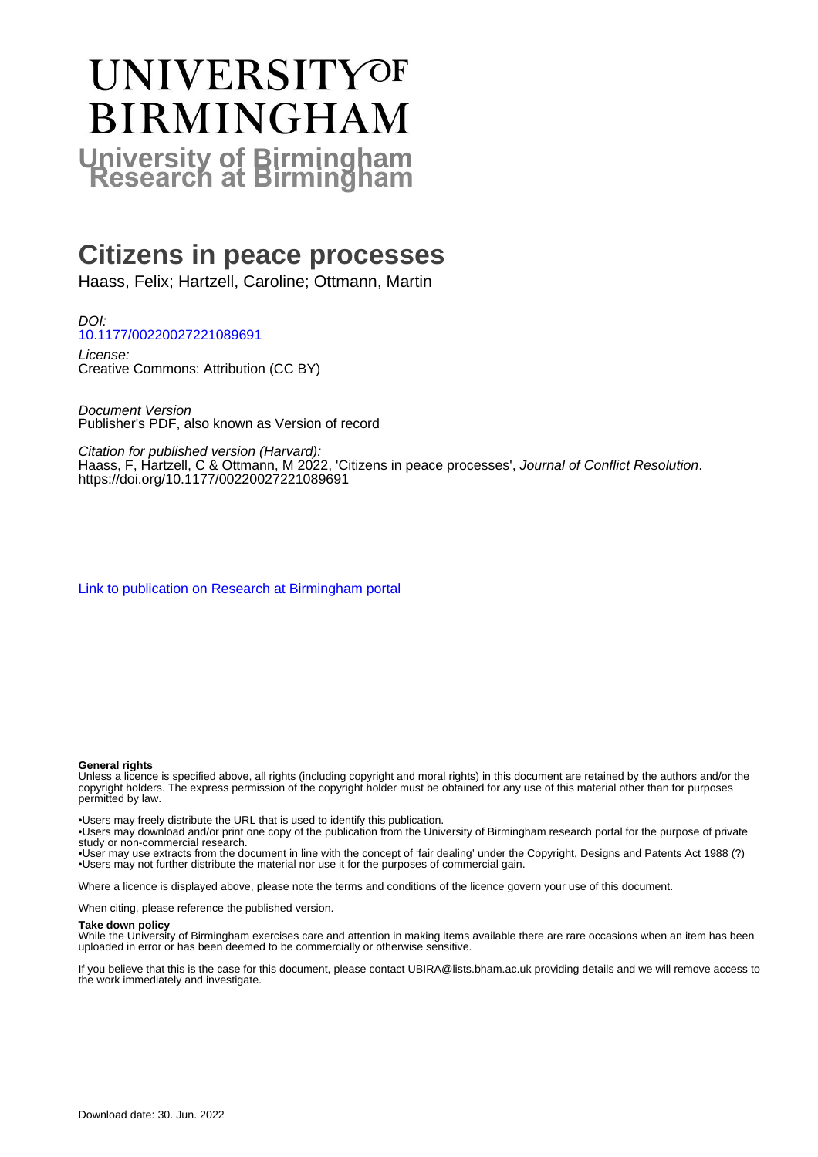# **UNIVERSITYOF BIRMINGHAM University of Birmingham**

## **Citizens in peace processes**

Haass, Felix; Hartzell, Caroline; Ottmann, Martin

DOI: [10.1177/00220027221089691](https://doi.org/10.1177/00220027221089691)

License: Creative Commons: Attribution (CC BY)

Document Version Publisher's PDF, also known as Version of record

Citation for published version (Harvard):

Haass, F, Hartzell, C & Ottmann, M 2022, 'Citizens in peace processes', Journal of Conflict Resolution. <https://doi.org/10.1177/00220027221089691>

[Link to publication on Research at Birmingham portal](https://birmingham.elsevierpure.com/en/publications/73eaec75-9981-4f71-9ec6-ffcb80d8a24b)

#### **General rights**

Unless a licence is specified above, all rights (including copyright and moral rights) in this document are retained by the authors and/or the copyright holders. The express permission of the copyright holder must be obtained for any use of this material other than for purposes permitted by law.

• Users may freely distribute the URL that is used to identify this publication.

• Users may download and/or print one copy of the publication from the University of Birmingham research portal for the purpose of private study or non-commercial research.

• User may use extracts from the document in line with the concept of 'fair dealing' under the Copyright, Designs and Patents Act 1988 (?) • Users may not further distribute the material nor use it for the purposes of commercial gain.

Where a licence is displayed above, please note the terms and conditions of the licence govern your use of this document.

When citing, please reference the published version.

#### **Take down policy**

While the University of Birmingham exercises care and attention in making items available there are rare occasions when an item has been uploaded in error or has been deemed to be commercially or otherwise sensitive.

If you believe that this is the case for this document, please contact UBIRA@lists.bham.ac.uk providing details and we will remove access to the work immediately and investigate.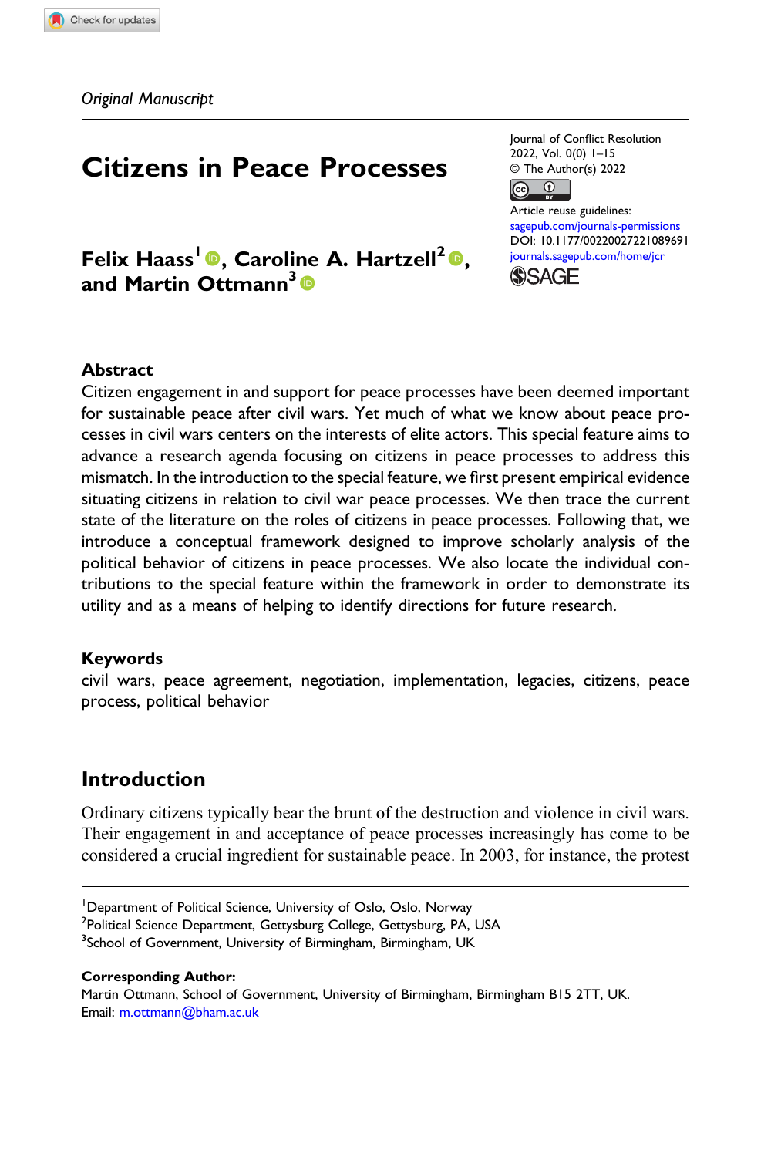### Citizens in Peace Processes

Felix Haass<sup>1</sup>®, Caroline A. Hartzell<sup>2</sup>®, and Martin Ottmann<sup>3</sup>

Journal of Conflict Resolution 2022, Vol. 0(0) 1–15 © The Author(s) 2022  $\boxed{6}$ 

Article reuse guidelines: [sagepub.com/journals-permissions](https://us.sagepub.com/en-us/journals-permissions) DOI: [10.1177/00220027221089691](https://doi.org/10.1177/00220027221089691) [journals.sagepub.com/home/jcr](https://journals.sagepub.com/home/jcr) **SSAGE** 

#### Abstract

Citizen engagement in and support for peace processes have been deemed important for sustainable peace after civil wars. Yet much of what we know about peace processes in civil wars centers on the interests of elite actors. This special feature aims to advance a research agenda focusing on citizens in peace processes to address this mismatch. In the introduction to the special feature, we first present empirical evidence situating citizens in relation to civil war peace processes. We then trace the current state of the literature on the roles of citizens in peace processes. Following that, we introduce a conceptual framework designed to improve scholarly analysis of the political behavior of citizens in peace processes. We also locate the individual contributions to the special feature within the framework in order to demonstrate its utility and as a means of helping to identify directions for future research.

#### Keywords

civil wars, peace agreement, negotiation, implementation, legacies, citizens, peace process, political behavior

#### Introduction

Ordinary citizens typically bear the brunt of the destruction and violence in civil wars. Their engagement in and acceptance of peace processes increasingly has come to be considered a crucial ingredient for sustainable peace. In 2003, for instance, the protest

#### Corresponding Author:

Martin Ottmann, School of Government, University of Birmingham, Birmingham B15 2TT, UK. Email: [m.ottmann@bham.ac.uk](mailto:m.ottmann@bham.ac.uk)

<sup>&</sup>lt;sup>1</sup>Department of Political Science, University of Oslo, Oslo, Norway

<sup>&</sup>lt;sup>2</sup>Political Science Department, Gettysburg College, Gettysburg, PA, USA

<sup>&</sup>lt;sup>3</sup>School of Government, University of Birmingham, Birmingham, UK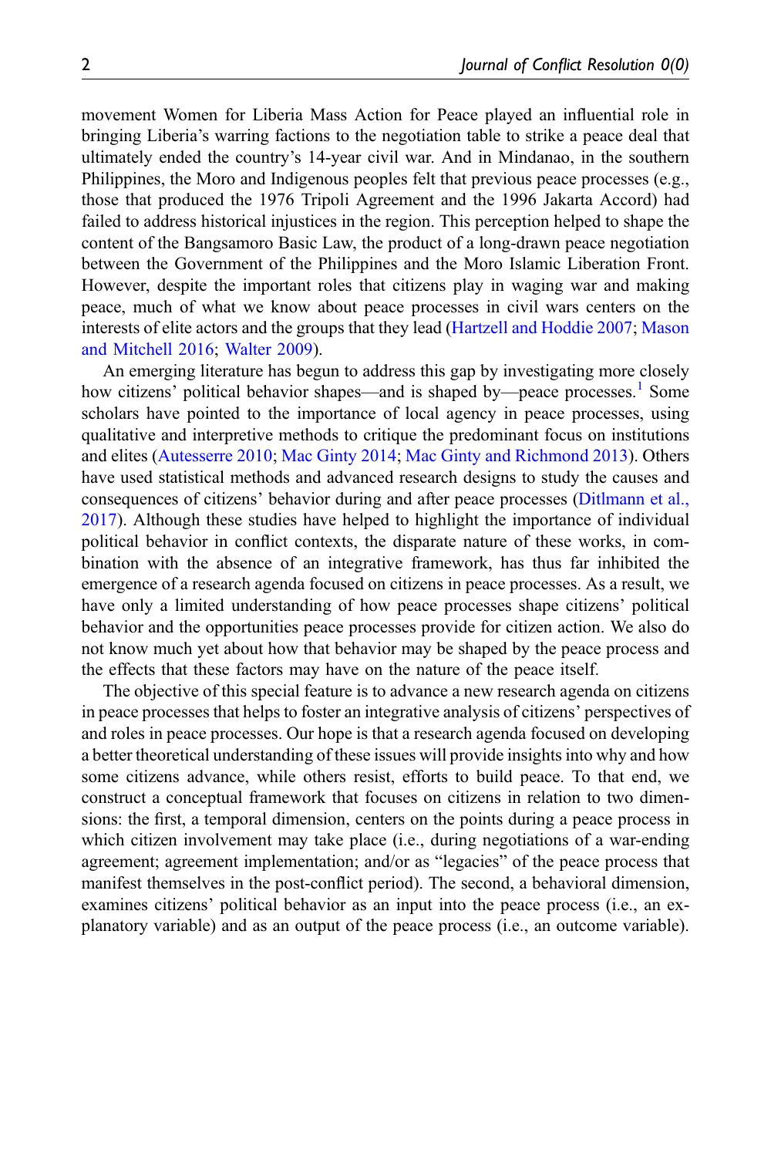movement Women for Liberia Mass Action for Peace played an influential role in bringing Liberia's warring factions to the negotiation table to strike a peace deal that ultimately ended the country's 14-year civil war. And in Mindanao, in the southern Philippines, the Moro and Indigenous peoples felt that previous peace processes (e.g., those that produced the 1976 Tripoli Agreement and the 1996 Jakarta Accord) had failed to address historical injustices in the region. This perception helped to shape the content of the Bangsamoro Basic Law, the product of a long-drawn peace negotiation between the Government of the Philippines and the Moro Islamic Liberation Front. However, despite the important roles that citizens play in waging war and making peace, much of what we know about peace processes in civil wars centers on the interests of elite actors and the groups that they lead ([Hartzell and Hoddie 2007;](#page-14-0) [Mason](#page-15-0) [and Mitchell 2016;](#page-15-0) [Walter 2009](#page-15-1)).

An emerging literature has begun to address this gap by investigating more closely how citizens' political behavior shapes—and is shaped by—peace processes.<sup>[1](#page-12-0)</sup> Some scholars have pointed to the importance of local agency in peace processes, using qualitative and interpretive methods to critique the predominant focus on institutions and elites [\(Autesserre 2010;](#page-13-0) [Mac Ginty 2014](#page-14-1); [Mac Ginty and Richmond 2013](#page-14-2)). Others have used statistical methods and advanced research designs to study the causes and consequences of citizens' behavior during and after peace processes [\(Ditlmann et al.,](#page-13-1) [2017\)](#page-13-1). Although these studies have helped to highlight the importance of individual political behavior in conflict contexts, the disparate nature of these works, in combination with the absence of an integrative framework, has thus far inhibited the emergence of a research agenda focused on citizens in peace processes. As a result, we have only a limited understanding of how peace processes shape citizens' political behavior and the opportunities peace processes provide for citizen action. We also do not know much yet about how that behavior may be shaped by the peace process and the effects that these factors may have on the nature of the peace itself.

The objective of this special feature is to advance a new research agenda on citizens in peace processes that helps to foster an integrative analysis of citizens' perspectives of and roles in peace processes. Our hope is that a research agenda focused on developing a better theoretical understanding of these issues will provide insights into why and how some citizens advance, while others resist, efforts to build peace. To that end, we construct a conceptual framework that focuses on citizens in relation to two dimensions: the first, a temporal dimension, centers on the points during a peace process in which citizen involvement may take place (i.e., during negotiations of a war-ending agreement; agreement implementation; and/or as "legacies" of the peace process that manifest themselves in the post-conflict period). The second, a behavioral dimension, examines citizens' political behavior as an input into the peace process (i.e., an explanatory variable) and as an output of the peace process (i.e., an outcome variable).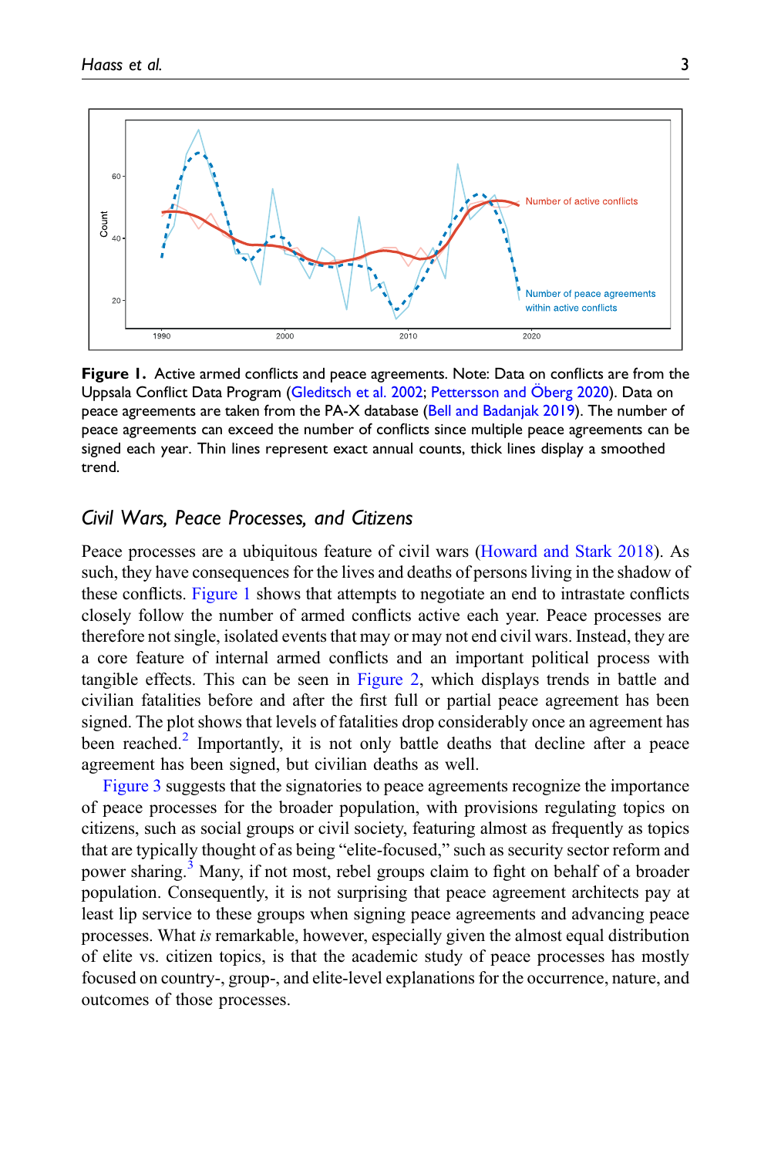

<span id="page-3-0"></span>Figure 1. Active armed conflicts and peace agreements. Note: Data on conflicts are from the Uppsala Conflict Data Program [\(Gleditsch et al. 2002](#page-14-4); [Pettersson and](#page-15-2) Ö[berg 2020](#page-15-2)). Data on peace agreements are taken from the PA-X database ([Bell and Badanjak 2019](#page-13-3)). The number of peace agreements can exceed the number of conflicts since multiple peace agreements can be signed each year. Thin lines represent exact annual counts, thick lines display a smoothed trend.

#### Civil Wars, Peace Processes, and Citizens

Peace processes are a ubiquitous feature of civil wars [\(Howard and Stark 2018](#page-14-3)). As such, they have consequences for the lives and deaths of persons living in the shadow of these conflicts. [Figure 1](#page-3-0) shows that attempts to negotiate an end to intrastate conflicts closely follow the number of armed conflicts active each year. Peace processes are therefore not single, isolated events that may or may not end civil wars. Instead, they are a core feature of internal armed conflicts and an important political process with tangible effects. This can be seen in [Figure 2,](#page-4-0) which displays trends in battle and civilian fatalities before and after the first full or partial peace agreement has been signed. The plot shows that levels of fatalities drop considerably once an agreement has been reached.<sup>[2](#page-12-1)</sup> Importantly, it is not only battle deaths that decline after a peace agreement has been signed, but civilian deaths as well.

[Figure 3](#page-5-0) suggests that the signatories to peace agreements recognize the importance of peace processes for the broader population, with provisions regulating topics on citizens, such as social groups or civil society, featuring almost as frequently as topics that are typically thought of as being "elite-focused," such as security sector reform and power sharing.<sup>[3](#page-13-2)</sup> Many, if not most, rebel groups claim to fight on behalf of a broader population. Consequently, it is not surprising that peace agreement architects pay at least lip service to these groups when signing peace agreements and advancing peace processes. What is remarkable, however, especially given the almost equal distribution of elite vs. citizen topics, is that the academic study of peace processes has mostly focused on country-, group-, and elite-level explanations for the occurrence, nature, and outcomes of those processes.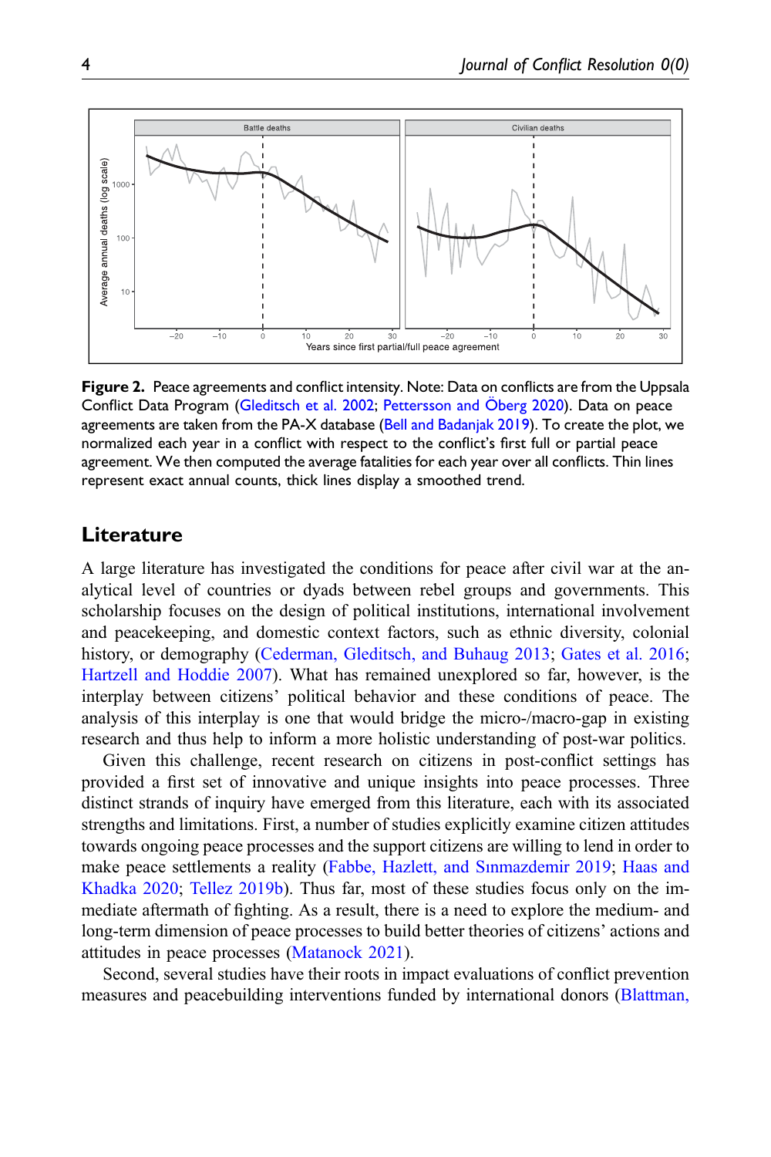

<span id="page-4-0"></span>Figure 2. Peace agreements and conflict intensity. Note: Data on conflicts are from the Uppsala Conflict Data Program [\(Gleditsch et al. 2002;](#page-14-4) [Pettersson and](#page-15-2) Öberg 2020). Data on peace agreements are taken from the PA-X database [\(Bell and Badanjak 2019\)](#page-13-3). To create the plot, we normalized each year in a conflict with respect to the conflict's first full or partial peace agreement. We then computed the average fatalities for each year over all conflicts. Thin lines represent exact annual counts, thick lines display a smoothed trend.

#### **Literature**

A large literature has investigated the conditions for peace after civil war at the analytical level of countries or dyads between rebel groups and governments. This scholarship focuses on the design of political institutions, international involvement and peacekeeping, and domestic context factors, such as ethnic diversity, colonial history, or demography [\(Cederman, Gleditsch, and Buhaug 2013](#page-13-4); [Gates et al. 2016;](#page-14-5) [Hartzell and Hoddie 2007\)](#page-14-0). What has remained unexplored so far, however, is the interplay between citizens' political behavior and these conditions of peace. The analysis of this interplay is one that would bridge the micro-/macro-gap in existing research and thus help to inform a more holistic understanding of post-war politics.

Given this challenge, recent research on citizens in post-conflict settings has provided a first set of innovative and unique insights into peace processes. Three distinct strands of inquiry have emerged from this literature, each with its associated strengths and limitations. First, a number of studies explicitly examine citizen attitudes towards ongoing peace processes and the support citizens are willing to lend in order to make peace settlements a reality [\(Fabbe, Hazlett, and S](#page-14-6)ı[nmazdemir 2019;](#page-14-6) [Haas and](#page-14-7) [Khadka 2020](#page-14-7); [Tellez 2019b\)](#page-15-3). Thus far, most of these studies focus only on the immediate aftermath of fighting. As a result, there is a need to explore the medium- and long-term dimension of peace processes to build better theories of citizens' actions and attitudes in peace processes ([Matanock 2021](#page-15-4)).

Second, several studies have their roots in impact evaluations of conflict prevention measures and peacebuilding interventions funded by international donors ([Blattman,](#page-13-5)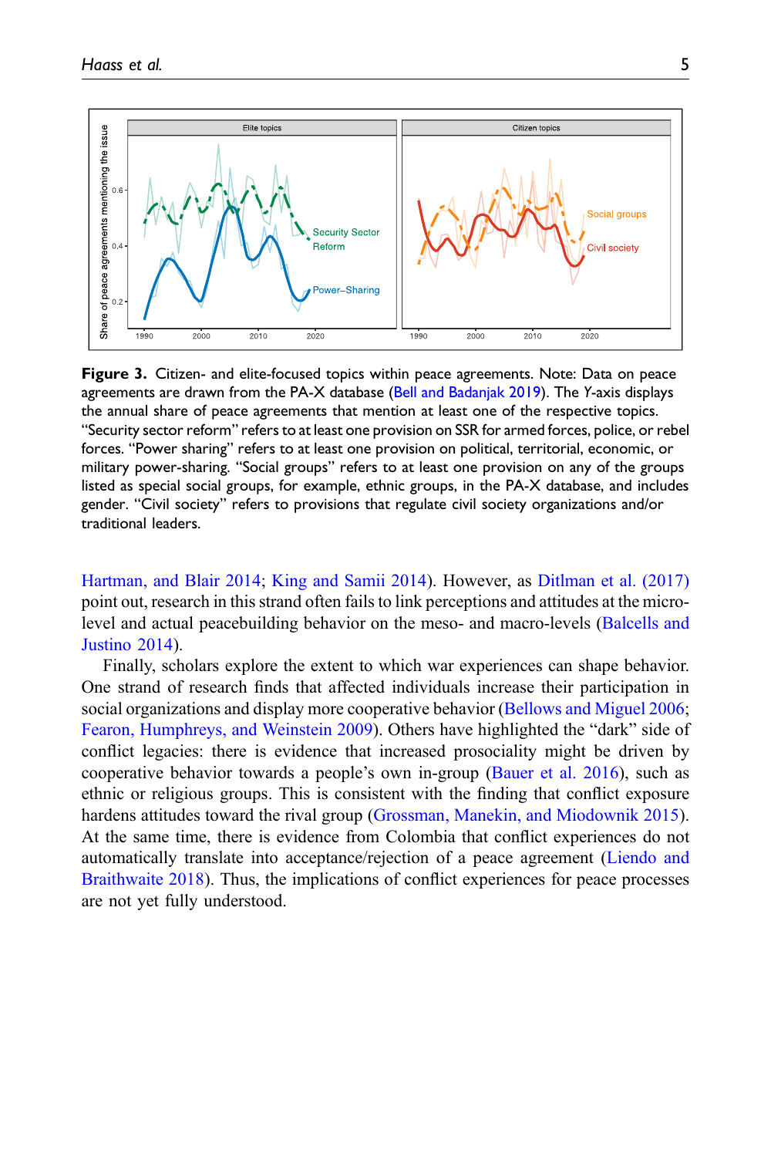

<span id="page-5-0"></span>Figure 3. Citizen- and elite-focused topics within peace agreements. Note: Data on peace agreements are drawn from the PA-X database ([Bell and Badanjak 2019](#page-13-3)). The Y-axis displays the annual share of peace agreements that mention at least one of the respective topics. "Security sector reform" refers to at least one provision on SSR for armed forces, police, or rebel forces. "Power sharing" refers to at least one provision on political, territorial, economic, or military power-sharing. "Social groups" refers to at least one provision on any of the groups listed as special social groups, for example, ethnic groups, in the PA-X database, and includes gender. "Civil society" refers to provisions that regulate civil society organizations and/or traditional leaders.

[Hartman, and Blair 2014](#page-13-5); [King and Samii 2014](#page-14-8)). However, as [Ditlman et al. \(2017\)](#page-13-1) point out, research in this strand often fails to link perceptions and attitudes at the microlevel and actual peacebuilding behavior on the meso- and macro-levels [\(Balcells and](#page-13-6) [Justino 2014\)](#page-13-6).

Finally, scholars explore the extent to which war experiences can shape behavior. One strand of research finds that affected individuals increase their participation in social organizations and display more cooperative behavior ([Bellows and Miguel 2006;](#page-13-7) [Fearon, Humphreys, and Weinstein 2009\)](#page-14-9). Others have highlighted the "dark" side of conflict legacies: there is evidence that increased prosociality might be driven by cooperative behavior towards a people's own in-group [\(Bauer et al. 2016\)](#page-13-8), such as ethnic or religious groups. This is consistent with the finding that conflict exposure hardens attitudes toward the rival group [\(Grossman, Manekin, and Miodownik 2015\)](#page-14-10). At the same time, there is evidence from Colombia that conflict experiences do not automatically translate into acceptance/rejection of a peace agreement ([Liendo and](#page-14-11) [Braithwaite 2018\)](#page-14-11). Thus, the implications of conflict experiences for peace processes are not yet fully understood.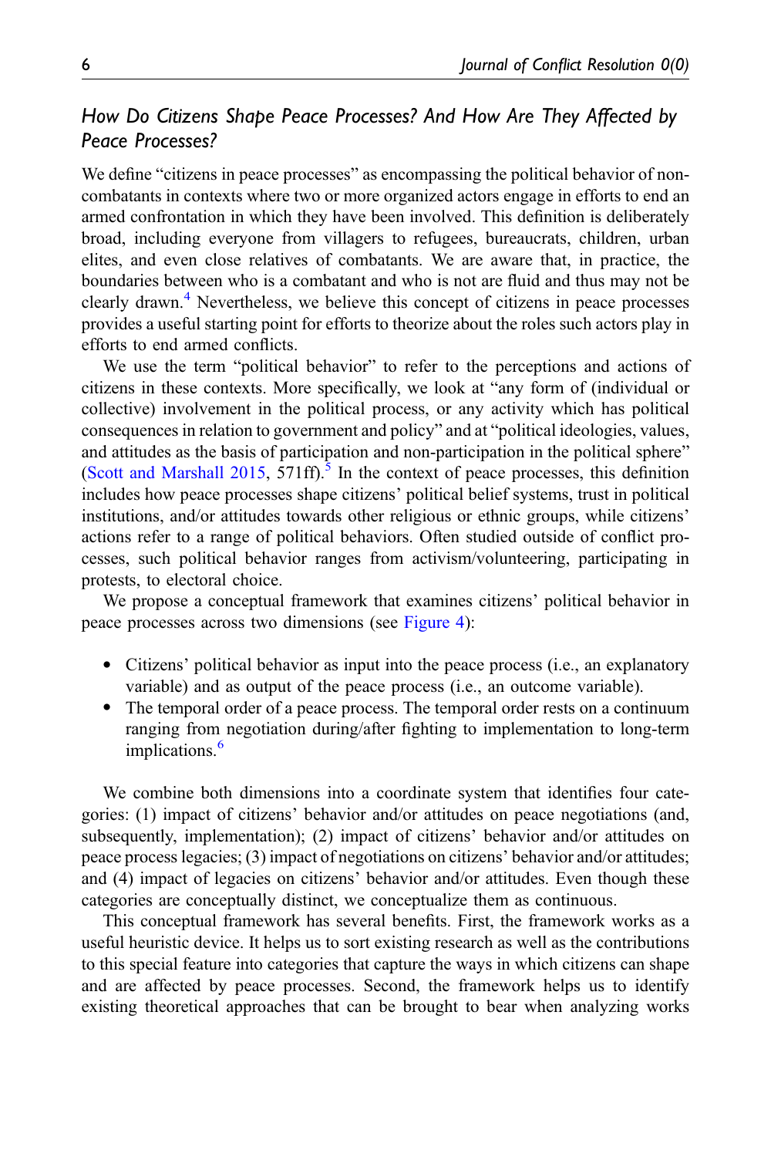#### How Do Citizens Shape Peace Processes? And How Are They Affected by Peace Processes?

We define "citizens in peace processes" as encompassing the political behavior of noncombatants in contexts where two or more organized actors engage in efforts to end an armed confrontation in which they have been involved. This definition is deliberately broad, including everyone from villagers to refugees, bureaucrats, children, urban elites, and even close relatives of combatants. We are aware that, in practice, the boundaries between who is a combatant and who is not are fluid and thus may not be clearly drawn.<sup>[4](#page-13-9)</sup> Nevertheless, we believe this concept of citizens in peace processes provides a useful starting point for efforts to theorize about the roles such actors play in efforts to end armed conflicts.

We use the term "political behavior" to refer to the perceptions and actions of citizens in these contexts. More specifically, we look at "any form of (individual or collective) involvement in the political process, or any activity which has political consequences in relation to government and policy" and at "political ideologies, values, and attitudes as the basis of participation and non-participation in the political sphere" ([Scott and Marshall 2015,](#page-15-5) 571ff).<sup>5</sup> In the context of peace processes, this definition includes how peace processes shape citizens' political belief systems, trust in political institutions, and/or attitudes towards other religious or ethnic groups, while citizens' actions refer to a range of political behaviors. Often studied outside of conflict processes, such political behavior ranges from activism/volunteering, participating in protests, to electoral choice.

We propose a conceptual framework that examines citizens' political behavior in peace processes across two dimensions (see [Figure 4](#page-7-0)):

- · Citizens' political behavior as input into the peace process (i.e., an explanatory variable) and as output of the peace process (i.e., an outcome variable).
- The temporal order of a peace process. The temporal order rests on a continuum ranging from negotiation during/after fighting to implementation to long-term implications.<sup>[6](#page-13-11)</sup>

We combine both dimensions into a coordinate system that identifies four categories: (1) impact of citizens' behavior and/or attitudes on peace negotiations (and, subsequently, implementation); (2) impact of citizens' behavior and/or attitudes on peace process legacies; (3) impact of negotiations on citizens' behavior and/or attitudes; and (4) impact of legacies on citizens' behavior and/or attitudes. Even though these categories are conceptually distinct, we conceptualize them as continuous.

This conceptual framework has several benefits. First, the framework works as a useful heuristic device. It helps us to sort existing research as well as the contributions to this special feature into categories that capture the ways in which citizens can shape and are affected by peace processes. Second, the framework helps us to identify existing theoretical approaches that can be brought to bear when analyzing works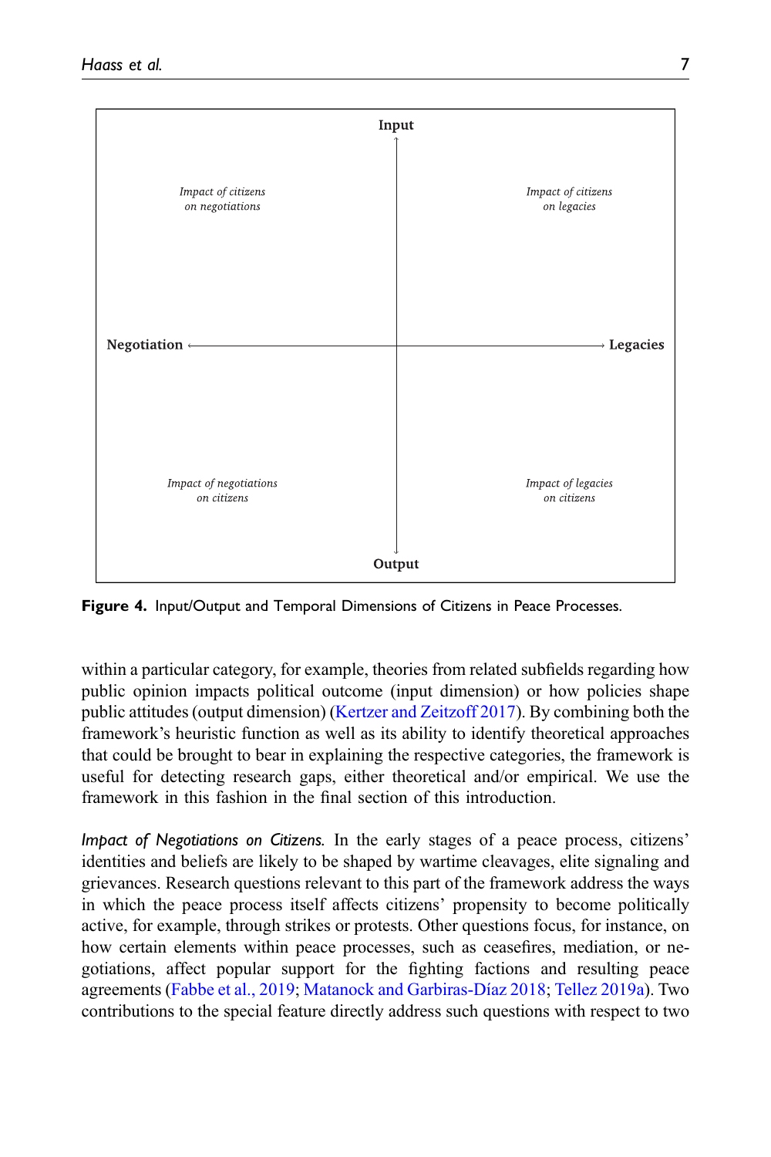

<span id="page-7-0"></span>Figure 4. Input/Output and Temporal Dimensions of Citizens in Peace Processes.

within a particular category, for example, theories from related subfields regarding how public opinion impacts political outcome (input dimension) or how policies shape public attitudes (output dimension) ([Kertzer and Zeitzoff 2017](#page-14-12)). By combining both the framework's heuristic function as well as its ability to identify theoretical approaches that could be brought to bear in explaining the respective categories, the framework is useful for detecting research gaps, either theoretical and/or empirical. We use the framework in this fashion in the final section of this introduction.

Impact of Negotiations on Citizens. In the early stages of a peace process, citizens' identities and beliefs are likely to be shaped by wartime cleavages, elite signaling and grievances. Research questions relevant to this part of the framework address the ways in which the peace process itself affects citizens' propensity to become politically active, for example, through strikes or protests. Other questions focus, for instance, on how certain elements within peace processes, such as ceasefires, mediation, or negotiations, affect popular support for the fighting factions and resulting peace agreements ([Fabbe et al., 2019](#page-14-6); [Matanock and Garbiras-D](#page-15-6)í[az 2018;](#page-15-6) [Tellez 2019a](#page-15-7)). Two contributions to the special feature directly address such questions with respect to two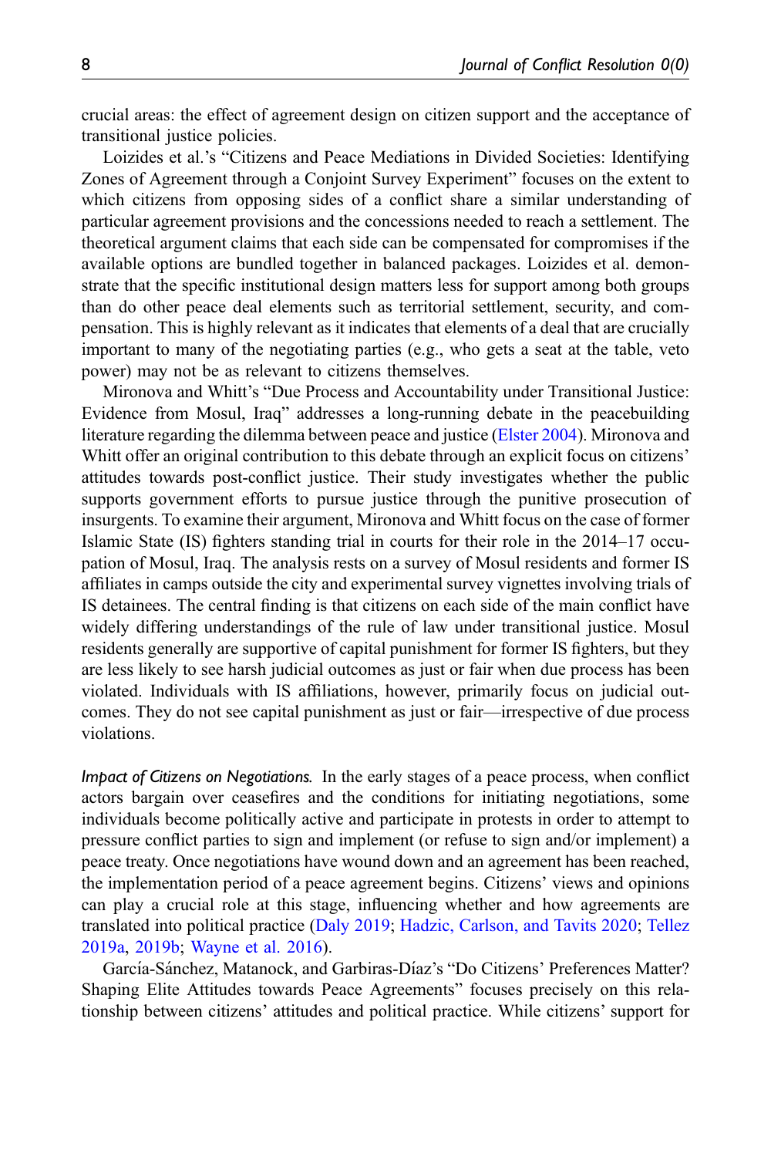crucial areas: the effect of agreement design on citizen support and the acceptance of transitional justice policies.

Loizides et al.'s "Citizens and Peace Mediations in Divided Societies: Identifying Zones of Agreement through a Conjoint Survey Experiment" focuses on the extent to which citizens from opposing sides of a conflict share a similar understanding of particular agreement provisions and the concessions needed to reach a settlement. The theoretical argument claims that each side can be compensated for compromises if the available options are bundled together in balanced packages. Loizides et al. demonstrate that the specific institutional design matters less for support among both groups than do other peace deal elements such as territorial settlement, security, and compensation. This is highly relevant as it indicates that elements of a deal that are crucially important to many of the negotiating parties (e.g., who gets a seat at the table, veto power) may not be as relevant to citizens themselves.

Mironova and Whitt's "Due Process and Accountability under Transitional Justice: Evidence from Mosul, Iraq" addresses a long-running debate in the peacebuilding literature regarding the dilemma between peace and justice ([Elster 2004](#page-14-13)). Mironova and Whitt offer an original contribution to this debate through an explicit focus on citizens' attitudes towards post-conflict justice. Their study investigates whether the public supports government efforts to pursue justice through the punitive prosecution of insurgents. To examine their argument, Mironova and Whitt focus on the case of former Islamic State (IS) fighters standing trial in courts for their role in the 2014–17 occupation of Mosul, Iraq. The analysis rests on a survey of Mosul residents and former IS affiliates in camps outside the city and experimental survey vignettes involving trials of IS detainees. The central finding is that citizens on each side of the main conflict have widely differing understandings of the rule of law under transitional justice. Mosul residents generally are supportive of capital punishment for former IS fighters, but they are less likely to see harsh judicial outcomes as just or fair when due process has been violated. Individuals with IS affiliations, however, primarily focus on judicial outcomes. They do not see capital punishment as just or fair—irrespective of due process violations.

Impact of Citizens on Negotiations. In the early stages of a peace process, when conflict actors bargain over ceasefires and the conditions for initiating negotiations, some individuals become politically active and participate in protests in order to attempt to pressure conflict parties to sign and implement (or refuse to sign and/or implement) a peace treaty. Once negotiations have wound down and an agreement has been reached, the implementation period of a peace agreement begins. Citizens' views and opinions can play a crucial role at this stage, influencing whether and how agreements are translated into political practice ([Daly 2019;](#page-13-12) [Hadzic, Carlson, and Tavits 2020;](#page-14-14) [Tellez](#page-15-7) [2019a,](#page-15-7) [2019b;](#page-15-3) [Wayne et al. 2016\)](#page-15-8).

García-Sánchez, Matanock, and Garbiras-Díaz's "Do Citizens' Preferences Matter? Shaping Elite Attitudes towards Peace Agreements" focuses precisely on this relationship between citizens' attitudes and political practice. While citizens' support for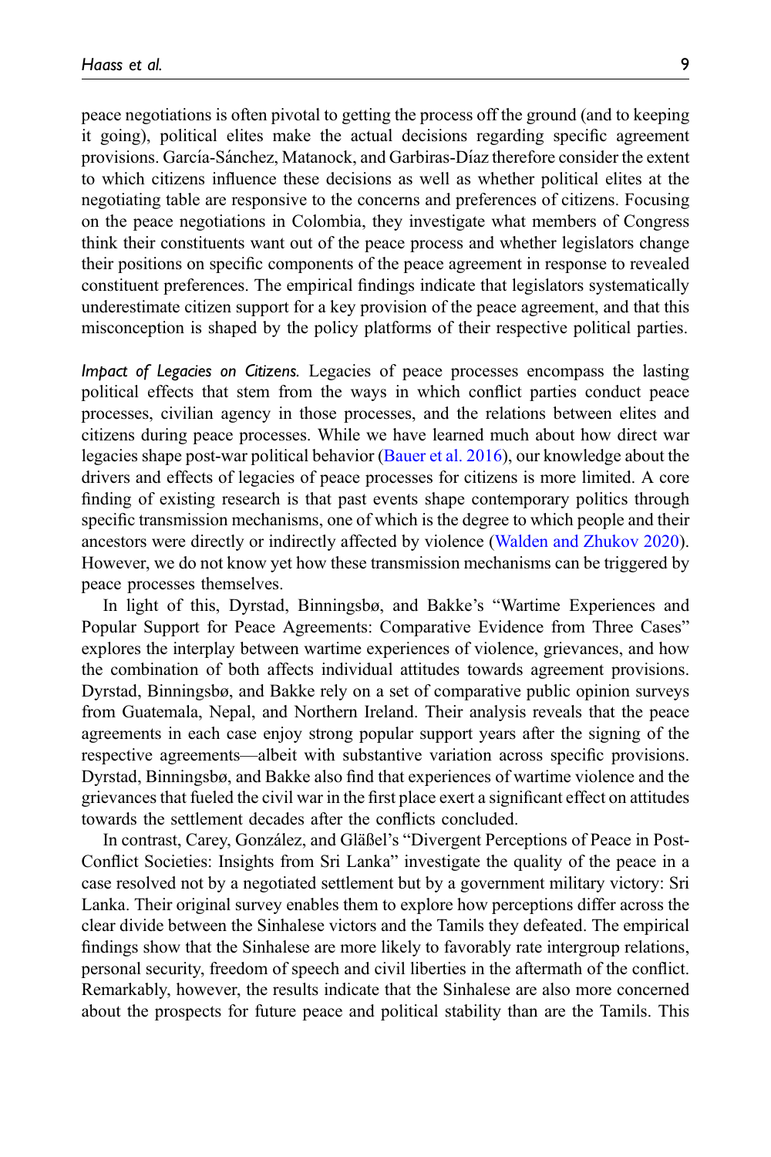peace negotiations is often pivotal to getting the process off the ground (and to keeping it going), political elites make the actual decisions regarding specific agreement provisions. García-Sánchez, Matanock, and Garbiras-Díaz therefore consider the extent to which citizens influence these decisions as well as whether political elites at the negotiating table are responsive to the concerns and preferences of citizens. Focusing on the peace negotiations in Colombia, they investigate what members of Congress think their constituents want out of the peace process and whether legislators change their positions on specific components of the peace agreement in response to revealed constituent preferences. The empirical findings indicate that legislators systematically underestimate citizen support for a key provision of the peace agreement, and that this misconception is shaped by the policy platforms of their respective political parties.

Impact of Legacies on Citizens. Legacies of peace processes encompass the lasting political effects that stem from the ways in which conflict parties conduct peace processes, civilian agency in those processes, and the relations between elites and citizens during peace processes. While we have learned much about how direct war legacies shape post-war political behavior ([Bauer et al. 2016](#page-13-8)), our knowledge about the drivers and effects of legacies of peace processes for citizens is more limited. A core finding of existing research is that past events shape contemporary politics through specific transmission mechanisms, one of which is the degree to which people and their ancestors were directly or indirectly affected by violence [\(Walden and Zhukov 2020\)](#page-15-9). However, we do not know yet how these transmission mechanisms can be triggered by peace processes themselves.

In light of this, Dyrstad, Binningsbø, and Bakke's "Wartime Experiences and Popular Support for Peace Agreements: Comparative Evidence from Three Cases" explores the interplay between wartime experiences of violence, grievances, and how the combination of both affects individual attitudes towards agreement provisions. Dyrstad, Binningsbø, and Bakke rely on a set of comparative public opinion surveys from Guatemala, Nepal, and Northern Ireland. Their analysis reveals that the peace agreements in each case enjoy strong popular support years after the signing of the respective agreements—albeit with substantive variation across specific provisions. Dyrstad, Binningsbø, and Bakke also find that experiences of wartime violence and the grievances that fueled the civil war in the first place exert a significant effect on attitudes towards the settlement decades after the conflicts concluded.

In contrast, Carey, González, and Gläßel's "Divergent Perceptions of Peace in Post-Conflict Societies: Insights from Sri Lanka" investigate the quality of the peace in a case resolved not by a negotiated settlement but by a government military victory: Sri Lanka. Their original survey enables them to explore how perceptions differ across the clear divide between the Sinhalese victors and the Tamils they defeated. The empirical findings show that the Sinhalese are more likely to favorably rate intergroup relations, personal security, freedom of speech and civil liberties in the aftermath of the conflict. Remarkably, however, the results indicate that the Sinhalese are also more concerned about the prospects for future peace and political stability than are the Tamils. This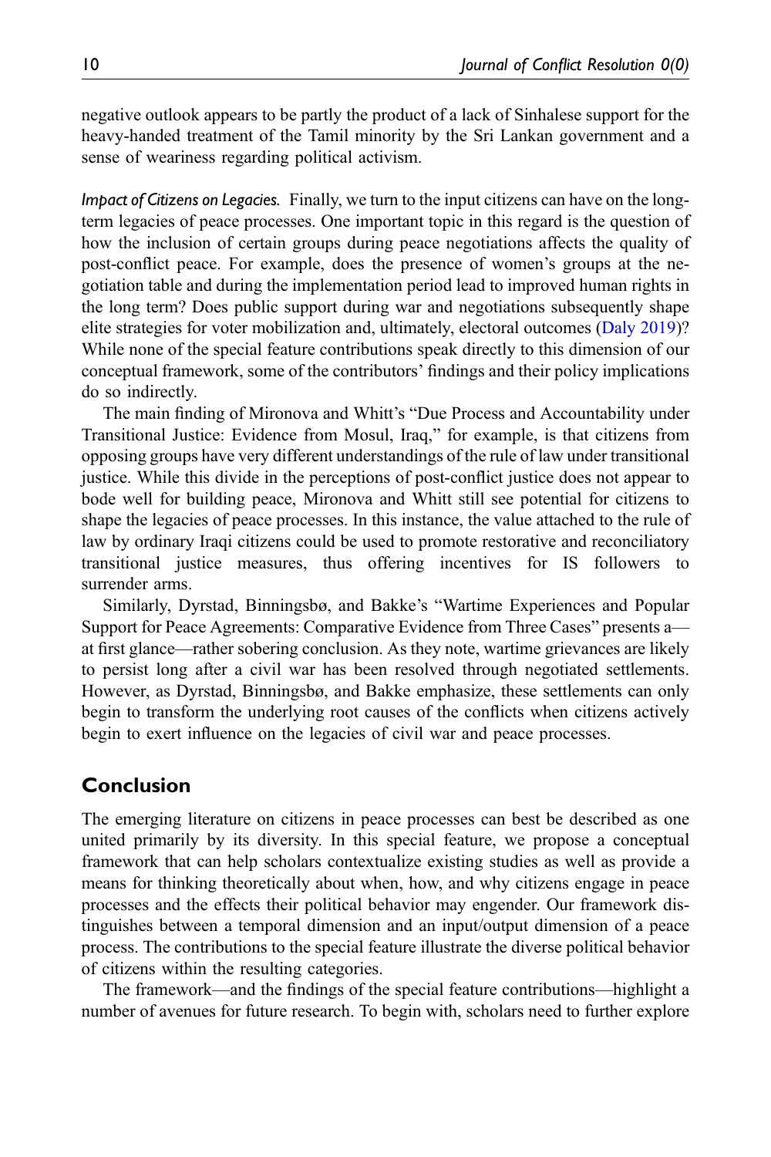negative outlook appears to be partly the product of a lack of Sinhalese support for the heavy-handed treatment of the Tamil minority by the Sri Lankan government and a sense of weariness regarding political activism.

Impact of Citizens on Legacies. Finally, we turn to the input citizens can have on the longterm legacies of peace processes. One important topic in this regard is the question of how the inclusion of certain groups during peace negotiations affects the quality of post-conflict peace. For example, does the presence of women's groups at the negotiation table and during the implementation period lead to improved human rights in the long term? Does public support during war and negotiations subsequently shape elite strategies for voter mobilization and, ultimately, electoral outcomes [\(Daly 2019\)](#page-13-12)? While none of the special feature contributions speak directly to this dimension of our conceptual framework, some of the contributors' findings and their policy implications do so indirectly.

The main finding of Mironova and Whitt's "Due Process and Accountability under Transitional Justice: Evidence from Mosul, Iraq," for example, is that citizens from opposing groups have very different understandings of the rule of law under transitional justice. While this divide in the perceptions of post-conflict justice does not appear to bode well for building peace, Mironova and Whitt still see potential for citizens to shape the legacies of peace processes. In this instance, the value attached to the rule of law by ordinary Iraqi citizens could be used to promote restorative and reconciliatory transitional justice measures, thus offering incentives for IS followers to surrender arms.

Similarly, Dyrstad, Binningsbø, and Bakke's "Wartime Experiences and Popular Support for Peace Agreements: Comparative Evidence from Three Cases" presents a at first glance—rather sobering conclusion. As they note, wartime grievances are likely to persist long after a civil war has been resolved through negotiated settlements. However, as Dyrstad, Binningsbø, and Bakke emphasize, these settlements can only begin to transform the underlying root causes of the conflicts when citizens actively begin to exert influence on the legacies of civil war and peace processes.

#### Conclusion

The emerging literature on citizens in peace processes can best be described as one united primarily by its diversity. In this special feature, we propose a conceptual framework that can help scholars contextualize existing studies as well as provide a means for thinking theoretically about when, how, and why citizens engage in peace processes and the effects their political behavior may engender. Our framework distinguishes between a temporal dimension and an input/output dimension of a peace process. The contributions to the special feature illustrate the diverse political behavior of citizens within the resulting categories.

The framework—and the findings of the special feature contributions—highlight a number of avenues for future research. To begin with, scholars need to further explore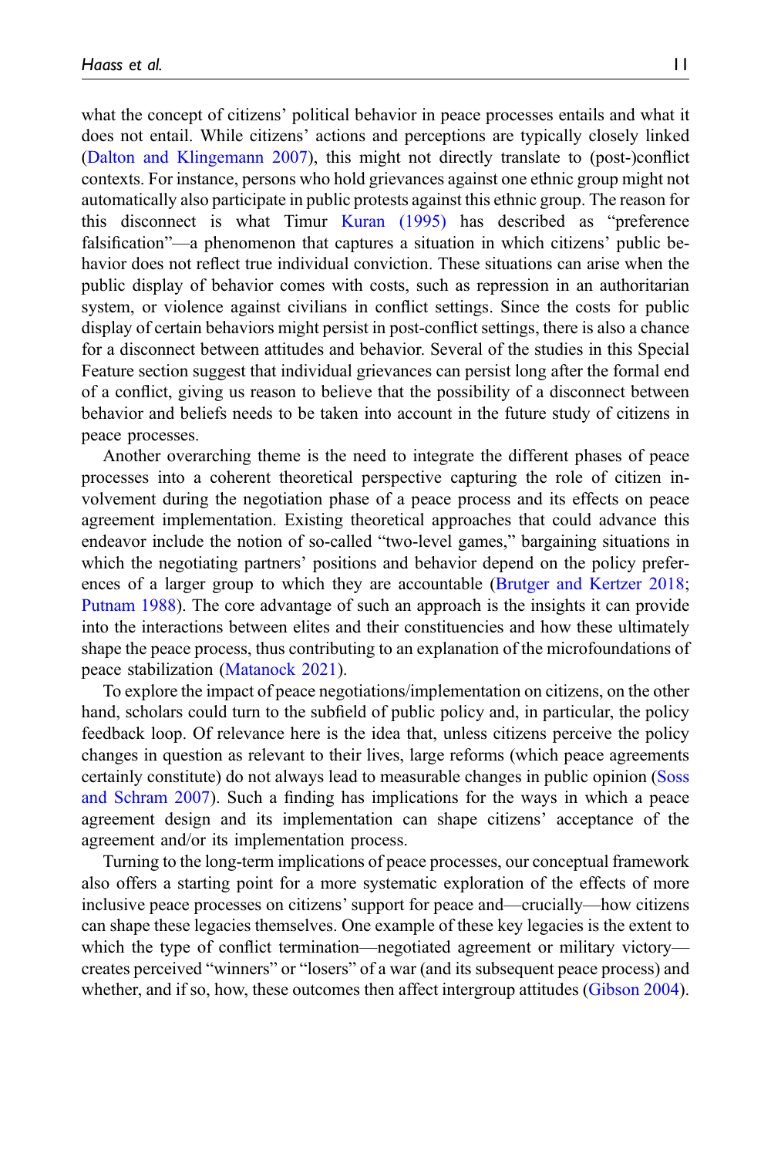what the concept of citizens' political behavior in peace processes entails and what it does not entail. While citizens' actions and perceptions are typically closely linked ([Dalton and Klingemann 2007](#page-13-13)), this might not directly translate to (post-)conflict contexts. For instance, persons who hold grievances against one ethnic group might not automatically also participate in public protests against this ethnic group. The reason for this disconnect is what Timur [Kuran \(1995\)](#page-14-15) has described as "preference falsification"—a phenomenon that captures a situation in which citizens' public behavior does not reflect true individual conviction. These situations can arise when the public display of behavior comes with costs, such as repression in an authoritarian system, or violence against civilians in conflict settings. Since the costs for public display of certain behaviors might persist in post-conflict settings, there is also a chance for a disconnect between attitudes and behavior. Several of the studies in this Special Feature section suggest that individual grievances can persist long after the formal end of a conflict, giving us reason to believe that the possibility of a disconnect between behavior and beliefs needs to be taken into account in the future study of citizens in peace processes.

Another overarching theme is the need to integrate the different phases of peace processes into a coherent theoretical perspective capturing the role of citizen involvement during the negotiation phase of a peace process and its effects on peace agreement implementation. Existing theoretical approaches that could advance this endeavor include the notion of so-called "two-level games," bargaining situations in which the negotiating partners' positions and behavior depend on the policy preferences of a larger group to which they are accountable ([Brutger and Kertzer 2018;](#page-13-14) [Putnam 1988\)](#page-15-10). The core advantage of such an approach is the insights it can provide into the interactions between elites and their constituencies and how these ultimately shape the peace process, thus contributing to an explanation of the microfoundations of peace stabilization [\(Matanock 2021](#page-15-4)).

To explore the impact of peace negotiations/implementation on citizens, on the other hand, scholars could turn to the subfield of public policy and, in particular, the policy feedback loop. Of relevance here is the idea that, unless citizens perceive the policy changes in question as relevant to their lives, large reforms (which peace agreements certainly constitute) do not always lead to measurable changes in public opinion [\(Soss](#page-15-11) [and Schram 2007\)](#page-15-11). Such a finding has implications for the ways in which a peace agreement design and its implementation can shape citizens' acceptance of the agreement and/or its implementation process.

Turning to the long-term implications of peace processes, our conceptual framework also offers a starting point for a more systematic exploration of the effects of more inclusive peace processes on citizens' support for peace and—crucially—how citizens can shape these legacies themselves. One example of these key legacies is the extent to which the type of conflict termination—negotiated agreement or military victory creates perceived "winners" or "losers" of a war (and its subsequent peace process) and whether, and if so, how, these outcomes then affect intergroup attitudes ([Gibson 2004\)](#page-14-16).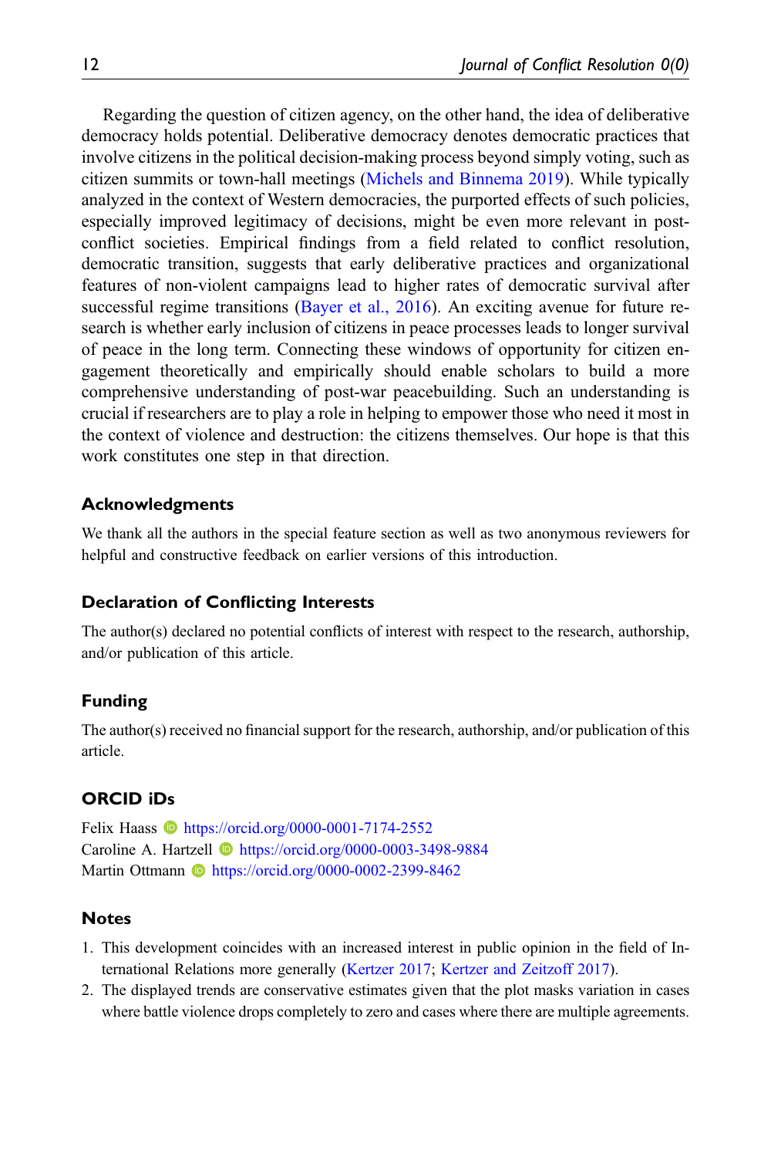Regarding the question of citizen agency, on the other hand, the idea of deliberative democracy holds potential. Deliberative democracy denotes democratic practices that involve citizens in the political decision-making process beyond simply voting, such as citizen summits or town-hall meetings [\(Michels and Binnema 2019](#page-15-12)). While typically analyzed in the context of Western democracies, the purported effects of such policies, especially improved legitimacy of decisions, might be even more relevant in postconflict societies. Empirical findings from a field related to conflict resolution, democratic transition, suggests that early deliberative practices and organizational features of non-violent campaigns lead to higher rates of democratic survival after successful regime transitions [\(Bayer et al., 2016\)](#page-13-15). An exciting avenue for future research is whether early inclusion of citizens in peace processes leads to longer survival of peace in the long term. Connecting these windows of opportunity for citizen engagement theoretically and empirically should enable scholars to build a more comprehensive understanding of post-war peacebuilding. Such an understanding is crucial if researchers are to play a role in helping to empower those who need it most in the context of violence and destruction: the citizens themselves. Our hope is that this work constitutes one step in that direction.

#### Acknowledgments

We thank all the authors in the special feature section as well as two anonymous reviewers for helpful and constructive feedback on earlier versions of this introduction.

#### Declaration of Conflicting Interests

The author(s) declared no potential conflicts of interest with respect to the research, authorship, and/or publication of this article.

#### Funding

The author(s) received no financial support for the research, authorship, and/or publication of this article.

#### ORCID iDs

Felix Haass **b** <https://orcid.org/0000-0001-7174-2552> Caroline A. Hartzell **I** <https://orcid.org/0000-0003-3498-9884> Martin Ottmann **b** <https://orcid.org/0000-0002-2399-8462>

#### <span id="page-12-0"></span>**Notes**

- <span id="page-12-1"></span>1. This development coincides with an increased interest in public opinion in the field of International Relations more generally [\(Kertzer 2017;](#page-14-17) [Kertzer and Zeitzoff 2017\)](#page-14-12).
- 2. The displayed trends are conservative estimates given that the plot masks variation in cases where battle violence drops completely to zero and cases where there are multiple agreements.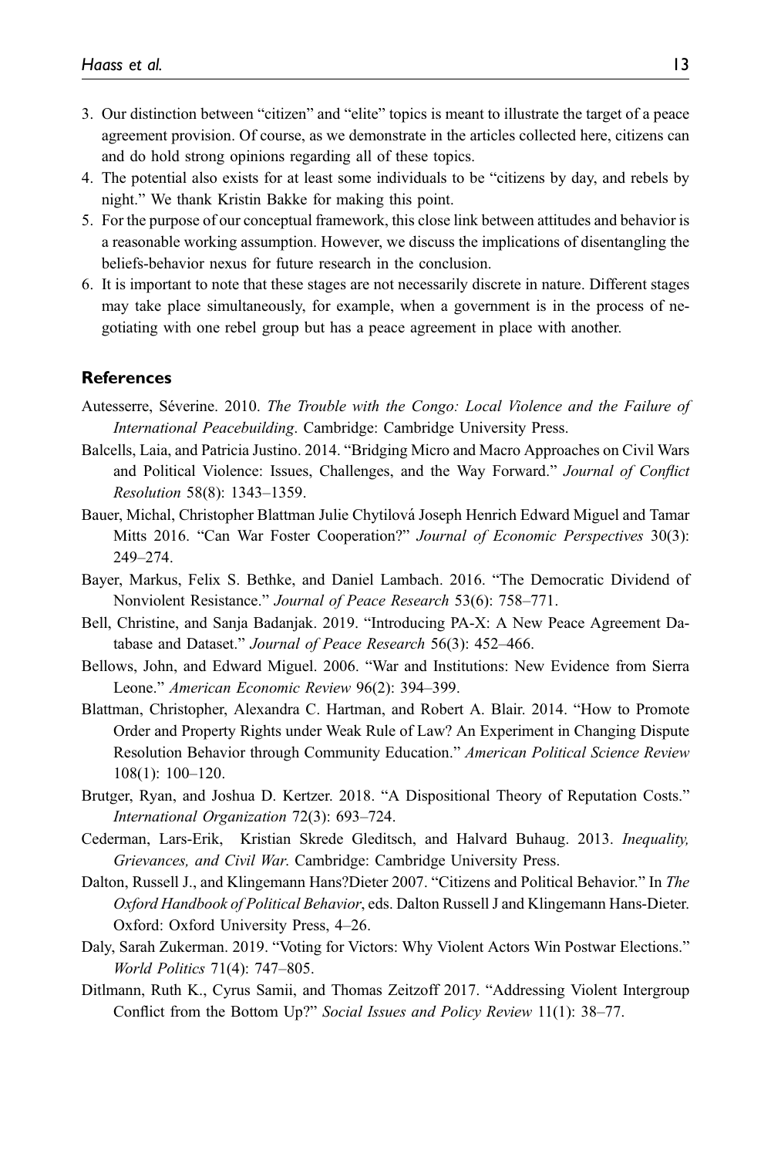- <span id="page-13-2"></span>3. Our distinction between "citizen" and "elite" topics is meant to illustrate the target of a peace agreement provision. Of course, as we demonstrate in the articles collected here, citizens can and do hold strong opinions regarding all of these topics.
- <span id="page-13-9"></span>4. The potential also exists for at least some individuals to be "citizens by day, and rebels by night." We thank Kristin Bakke for making this point.
- <span id="page-13-10"></span>5. For the purpose of our conceptual framework, this close link between attitudes and behavior is a reasonable working assumption. However, we discuss the implications of disentangling the beliefs-behavior nexus for future research in the conclusion.
- <span id="page-13-11"></span>6. It is important to note that these stages are not necessarily discrete in nature. Different stages may take place simultaneously, for example, when a government is in the process of negotiating with one rebel group but has a peace agreement in place with another.

#### <span id="page-13-0"></span>**References**

- Autesserre, Séverine. 2010. *The Trouble with the Congo: Local Violence and the Failure of* International Peacebuilding. Cambridge: Cambridge University Press.
- <span id="page-13-6"></span>Balcells, Laia, and Patricia Justino. 2014. "Bridging Micro and Macro Approaches on Civil Wars and Political Violence: Issues, Challenges, and the Way Forward." Journal of Conflict Resolution 58(8): 1343–1359.
- <span id="page-13-8"></span>Bauer, Michal, Christopher Blattman Julie Chytilova Joseph Henrich Edward Miguel and Tamar ´ Mitts 2016. "Can War Foster Cooperation?" Journal of Economic Perspectives 30(3): 249–274.
- <span id="page-13-15"></span><span id="page-13-3"></span>Bayer, Markus, Felix S. Bethke, and Daniel Lambach. 2016. "The Democratic Dividend of Nonviolent Resistance." Journal of Peace Research 53(6): 758–771.
- <span id="page-13-7"></span>Bell, Christine, and Sanja Badanjak. 2019. "Introducing PA-X: A New Peace Agreement Database and Dataset." Journal of Peace Research 56(3): 452–466.
- <span id="page-13-5"></span>Bellows, John, and Edward Miguel. 2006. "War and Institutions: New Evidence from Sierra Leone." American Economic Review 96(2): 394–399.
- Blattman, Christopher, Alexandra C. Hartman, and Robert A. Blair. 2014. "How to Promote Order and Property Rights under Weak Rule of Law? An Experiment in Changing Dispute Resolution Behavior through Community Education." American Political Science Review 108(1): 100–120.
- <span id="page-13-14"></span><span id="page-13-4"></span>Brutger, Ryan, and Joshua D. Kertzer. 2018. "A Dispositional Theory of Reputation Costs." International Organization 72(3): 693–724.
- <span id="page-13-13"></span>Cederman, Lars-Erik, Kristian Skrede Gleditsch, and Halvard Buhaug. 2013. Inequality, Grievances, and Civil War. Cambridge: Cambridge University Press.
- Dalton, Russell J., and Klingemann Hans?Dieter 2007. "Citizens and Political Behavior." In The Oxford Handbook of Political Behavior, eds. Dalton Russell J and Klingemann Hans-Dieter. Oxford: Oxford University Press, 4–26.
- <span id="page-13-12"></span><span id="page-13-1"></span>Daly, Sarah Zukerman. 2019. "Voting for Victors: Why Violent Actors Win Postwar Elections." World Politics 71(4): 747–805.
- Ditlmann, Ruth K., Cyrus Samii, and Thomas Zeitzoff 2017. "Addressing Violent Intergroup Conflict from the Bottom Up?" Social Issues and Policy Review 11(1): 38–77.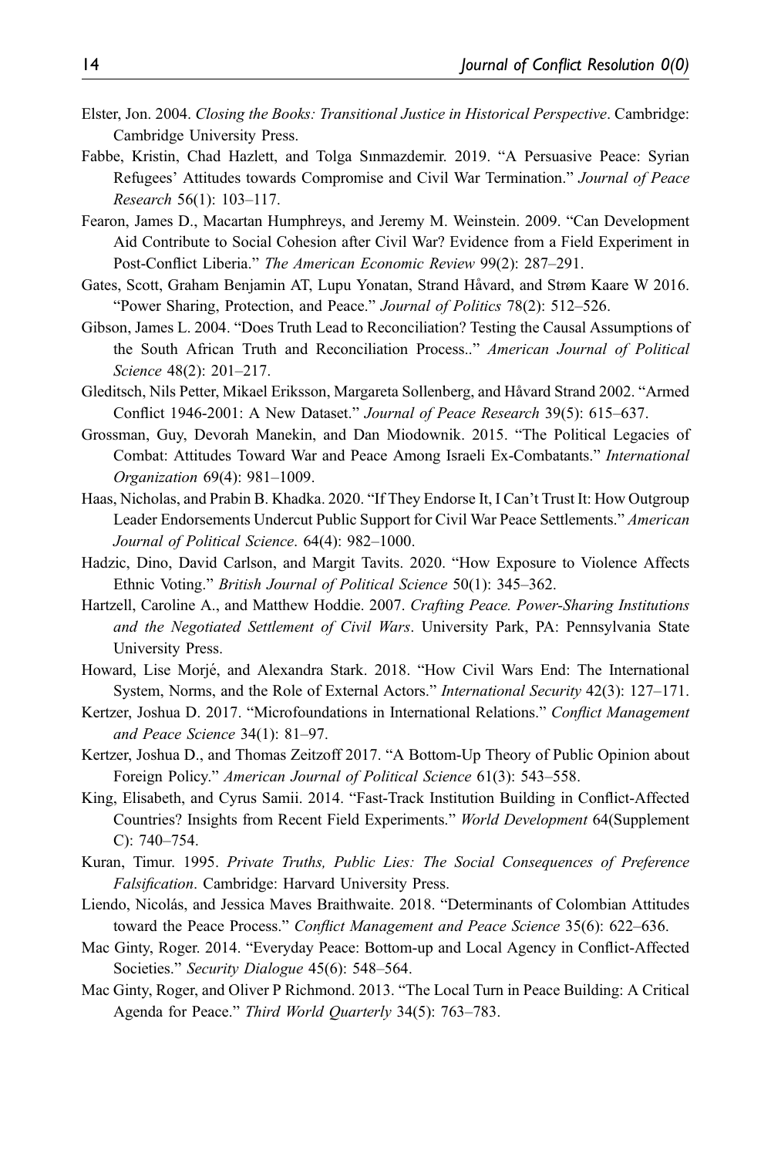- <span id="page-14-13"></span>Elster, Jon. 2004. Closing the Books: Transitional Justice in Historical Perspective. Cambridge: Cambridge University Press.
- <span id="page-14-6"></span>Fabbe, Kristin, Chad Hazlett, and Tolga Sınmazdemir. 2019. "A Persuasive Peace: Syrian Refugees' Attitudes towards Compromise and Civil War Termination." Journal of Peace Research 56(1): 103–117.
- <span id="page-14-9"></span>Fearon, James D., Macartan Humphreys, and Jeremy M. Weinstein. 2009. "Can Development Aid Contribute to Social Cohesion after Civil War? Evidence from a Field Experiment in Post-Conflict Liberia." The American Economic Review 99(2): 287–291.
- <span id="page-14-5"></span>Gates, Scott, Graham Benjamin AT, Lupu Yonatan, Strand Håvard, and Strøm Kaare W 2016. "Power Sharing, Protection, and Peace." Journal of Politics 78(2): 512–526.
- <span id="page-14-16"></span>Gibson, James L. 2004. "Does Truth Lead to Reconciliation? Testing the Causal Assumptions of the South African Truth and Reconciliation Process.." American Journal of Political Science 48(2): 201–217.
- <span id="page-14-4"></span>Gleditsch, Nils Petter, Mikael Eriksson, Margareta Sollenberg, and Havard Strand 2002. ˚ "Armed Conflict 1946-2001: A New Dataset." Journal of Peace Research 39(5): 615–637.
- <span id="page-14-10"></span>Grossman, Guy, Devorah Manekin, and Dan Miodownik. 2015. "The Political Legacies of Combat: Attitudes Toward War and Peace Among Israeli Ex-Combatants." International Organization 69(4): 981–1009.
- <span id="page-14-7"></span>Haas, Nicholas, and Prabin B. Khadka. 2020. "If They Endorse It, I Can't Trust It: How Outgroup Leader Endorsements Undercut Public Support for Civil War Peace Settlements." American Journal of Political Science. 64(4): 982–1000.
- <span id="page-14-14"></span>Hadzic, Dino, David Carlson, and Margit Tavits. 2020. "How Exposure to Violence Affects Ethnic Voting." British Journal of Political Science 50(1): 345–362.
- <span id="page-14-0"></span>Hartzell, Caroline A., and Matthew Hoddie. 2007. Crafting Peace. Power-Sharing Institutions and the Negotiated Settlement of Civil Wars. University Park, PA: Pennsylvania State University Press.
- <span id="page-14-3"></span>Howard, Lise Morjé, and Alexandra Stark. 2018. "How Civil Wars End: The International System, Norms, and the Role of External Actors." International Security 42(3): 127–171.
- <span id="page-14-17"></span>Kertzer, Joshua D. 2017. "Microfoundations in International Relations." Conflict Management and Peace Science 34(1): 81–97.
- <span id="page-14-12"></span>Kertzer, Joshua D., and Thomas Zeitzoff 2017. "A Bottom-Up Theory of Public Opinion about Foreign Policy." American Journal of Political Science 61(3): 543–558.
- <span id="page-14-8"></span>King, Elisabeth, and Cyrus Samii. 2014. "Fast-Track Institution Building in Conflict-Affected Countries? Insights from Recent Field Experiments." World Development 64(Supplement C): 740–754.
- <span id="page-14-15"></span>Kuran, Timur. 1995. Private Truths, Public Lies: The Social Consequences of Preference Falsification. Cambridge: Harvard University Press.
- <span id="page-14-11"></span>Liendo, Nicolás, and Jessica Maves Braithwaite. 2018. "Determinants of Colombian Attitudes toward the Peace Process." Conflict Management and Peace Science 35(6): 622–636.
- <span id="page-14-1"></span>Mac Ginty, Roger. 2014. "Everyday Peace: Bottom-up and Local Agency in Conflict-Affected Societies." Security Dialogue 45(6): 548–564.
- <span id="page-14-2"></span>Mac Ginty, Roger, and Oliver P Richmond. 2013. "The Local Turn in Peace Building: A Critical Agenda for Peace." Third World Quarterly 34(5): 763-783.